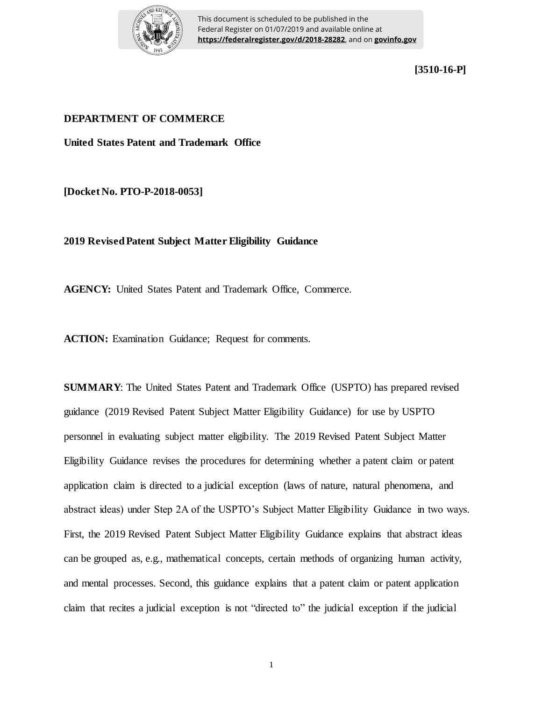

This document is scheduled to be published in the Federal Register on 01/07/2019 and available online at **https://federalregister.gov/d/2018-28282**, and on **govinfo.gov**

**[3510-16-P]**

### **DEPARTMENT OF COMMERCE**

**United States Patent and Trademark Office**

**[Docket No. PTO-P-2018-0053]**

**2019 Revised Patent Subject Matter Eligibility Guidance** 

**AGENCY:** United States Patent and Trademark Office, Commerce.

**ACTION:** Examination Guidance; Request for comments.

**SUMMARY**: The United States Patent and Trademark Office (USPTO) has prepared revised guidance (2019 Revised Patent Subject Matter Eligibility Guidance) for use by USPTO personnel in evaluating subject matter eligibility. The 2019 Revised Patent Subject Matter Eligibility Guidance revises the procedures for determining whether a patent claim or patent application claim is directed to a judicial exception (laws of nature, natural phenomena, and abstract ideas) under Step 2A of the USPTO's Subject Matter Eligibility Guidance in two ways. First, the 2019 Revised Patent Subject Matter Eligibility Guidance explains that abstract ideas can be grouped as, e.g., mathematical concepts, certain methods of organizing human activity, and mental processes. Second, this guidance explains that a patent claim or patent application claim that recites a judicial exception is not "directed to" the judicial exception if the judicial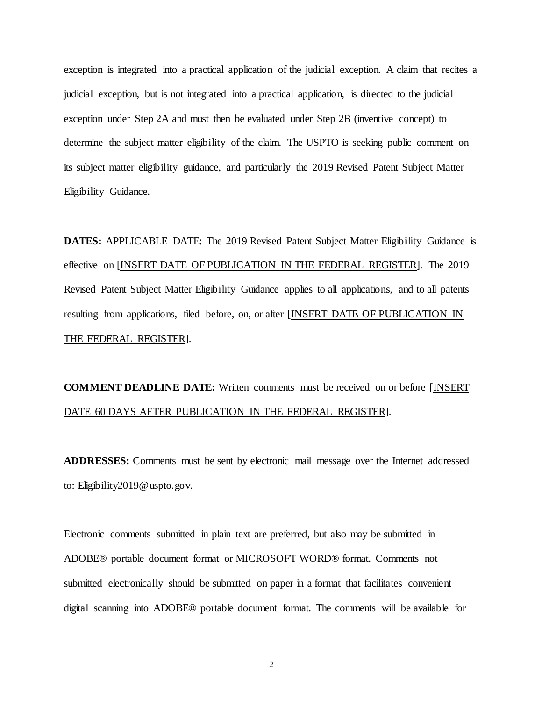exception is integrated into a practical application of the judicial exception. A claim that recites a judicial exception, but is not integrated into a practical application, is directed to the judicial exception under Step 2A and must then be evaluated under Step 2B (inventive concept) to determine the subject matter eligibility of the claim. The USPTO is seeking public comment on its subject matter eligibility guidance, and particularly the 2019 Revised Patent Subject Matter Eligibility Guidance.

**DATES:** APPLICABLE DATE: The 2019 Revised Patent Subject Matter Eligibility Guidance is effective on [INSERT DATE OF PUBLICATION IN THE FEDERAL REGISTER]. The 2019 Revised Patent Subject Matter Eligibility Guidance applies to all applications, and to all patents resulting from applications, filed before, on, or after [INSERT DATE OF PUBLICATION IN THE FEDERAL REGISTER].

**COMMENT DEADLINE DATE:** Written comments must be received on or before [INSERT DATE 60 DAYS AFTER PUBLICATION IN THE FEDERAL REGISTER].

**ADDRESSES:** Comments must be sent by electronic mail message over the Internet addressed to: Eligibility2019@uspto.gov.

Electronic comments submitted in plain text are preferred, but also may be submitted in ADOBE® portable document format or MICROSOFT WORD® format. Comments not submitted electronically should be submitted on paper in a format that facilitates convenient digital scanning into ADOBE® portable document format. The comments will be available for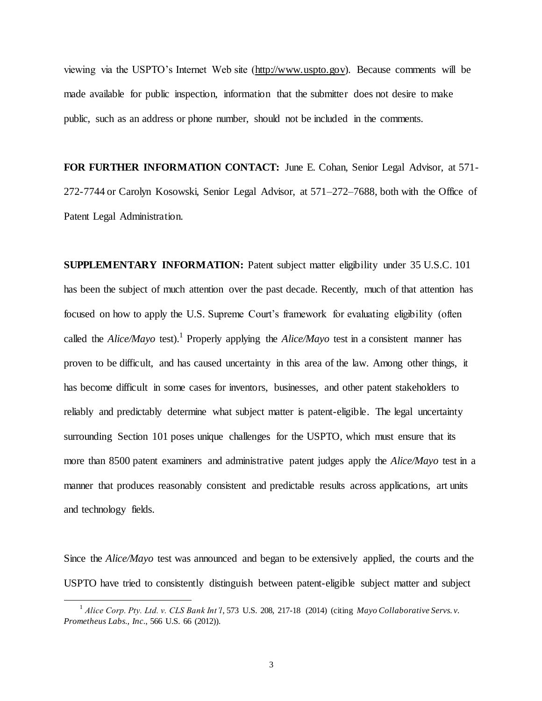viewing via the USPTO's Internet Web site (http://www.uspto.gov). Because comments will be made available for public inspection, information that the submitter does not desire to make public, such as an address or phone number, should not be included in the comments.

**FOR FURTHER INFORMATION CONTACT:** June E. Cohan, Senior Legal Advisor, at 571- 272-7744 or Carolyn Kosowski, Senior Legal Advisor, at 571–272–7688, both with the Office of Patent Legal Administration.

**SUPPLEMENTARY INFORMATION:** Patent subject matter eligibility under 35 U.S.C. 101 has been the subject of much attention over the past decade. Recently, much of that attention has focused on how to apply the U.S. Supreme Court's framework for evaluating eligibility (often called the *Alice/Mayo* test).<sup>1</sup> Properly applying the *Alice/Mayo* test in a consistent manner has proven to be difficult, and has caused uncertainty in this area of the law. Among other things, it has become difficult in some cases for inventors, businesses, and other patent stakeholders to reliably and predictably determine what subject matter is patent-eligible. The legal uncertainty surrounding Section 101 poses unique challenges for the USPTO, which must ensure that its more than 8500 patent examiners and administrative patent judges apply the *Alice/Mayo* test in a manner that produces reasonably consistent and predictable results across applications, art units and technology fields.

Since the *Alice/Mayo* test was announced and began to be extensively applied, the courts and the USPTO have tried to consistently distinguish between patent-eligible subject matter and subject

l

<sup>&</sup>lt;sup>1</sup> Alice Corp. Pty. Ltd. v. CLS Bank Int'l, 573 U.S. 208, 217-18 (2014) (citing *Mayo Collaborative Servs. v. Prometheus Labs., Inc.*, 566 U.S. 66 (2012)).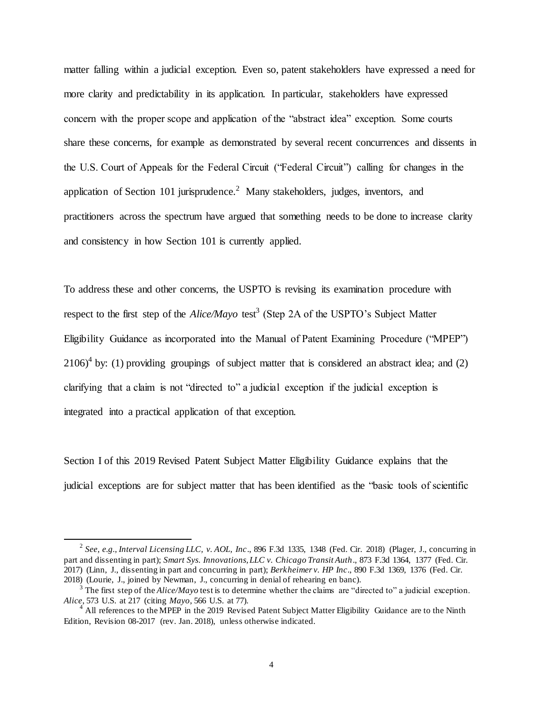matter falling within a judicial exception. Even so, patent stakeholders have expressed a need for more clarity and predictability in its application. In particular, stakeholders have expressed concern with the proper scope and application of the "abstract idea" exception. Some courts share these concerns, for example as demonstrated by several recent concurrences and dissents in the U.S. Court of Appeals for the Federal Circuit ("Federal Circuit") calling for changes in the application of Section 101 jurisprudence.<sup>2</sup> Many stakeholders, judges, inventors, and practitioners across the spectrum have argued that something needs to be done to increase clarity and consistency in how Section 101 is currently applied.

To address these and other concerns, the USPTO is revising its examination procedure with respect to the first step of the *Alice/Mayo* test<sup>3</sup> (Step 2A of the USPTO's Subject Matter Eligibility Guidance as incorporated into the Manual of Patent Examining Procedure ("MPEP")  $2106$ <sup>4</sup> by: (1) providing groupings of subject matter that is considered an abstract idea; and (2) clarifying that a claim is not "directed to" a judicial exception if the judicial exception is integrated into a practical application of that exception.

Section I of this 2019 Revised Patent Subject Matter Eligibility Guidance explains that the judicial exceptions are for subject matter that has been identified as the "basic tools of scientific

<sup>2</sup> *See, e.g., Interval Licensing LLC, v. AOL, Inc*., 896 F.3d 1335, 1348 (Fed. Cir. 2018) (Plager, J., concurring in part and dissenting in part); *Smart Sys. Innovations, LLC v. Chicago Transit Auth*., 873 F.3d 1364, 1377 (Fed. Cir. 2017) (Linn, J., dissenting in part and concurring in part); *Berkheimer v. HP Inc*., 890 F.3d 1369, 1376 (Fed. Cir. 2018) (Lourie, J., joined by Newman, J., concurring in denial of rehearing en banc).

<sup>&</sup>lt;sup>3</sup> The first step of the *Alice/Mayo* test is to determine whether the claims are "directed to" a judicial exception. *Alice*, 573 U.S. at 217 (citing *Mayo*, 566 U.S. at 77).

 $<sup>4</sup>$  All references to the MPEP in the 2019 Revised Patent Subject Matter Eligibility Guidance are to the Ninth</sup> Edition, Revision 08-2017 (rev. Jan. 2018), unless otherwise indicated.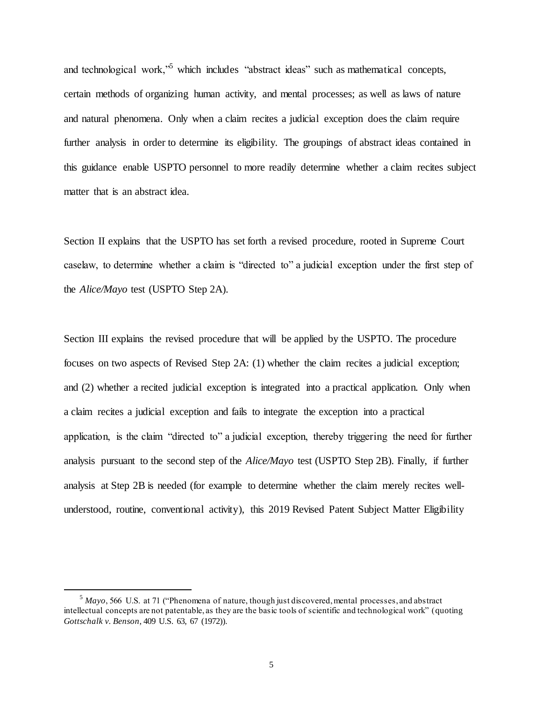and technological work,<sup>55</sup> which includes "abstract ideas" such as mathematical concepts, certain methods of organizing human activity, and mental processes; as well as laws of nature and natural phenomena. Only when a claim recites a judicial exception does the claim require further analysis in order to determine its eligibility. The groupings of abstract ideas contained in this guidance enable USPTO personnel to more readily determine whether a claim recites subject matter that is an abstract idea.

Section II explains that the USPTO has set forth a revised procedure, rooted in Supreme Court caselaw, to determine whether a claim is "directed to" a judicial exception under the first step of the *Alice/Mayo* test (USPTO Step 2A).

Section III explains the revised procedure that will be applied by the USPTO. The procedure focuses on two aspects of Revised Step 2A: (1) whether the claim recites a judicial exception; and (2) whether a recited judicial exception is integrated into a practical application. Only when a claim recites a judicial exception and fails to integrate the exception into a practical application, is the claim "directed to" a judicial exception, thereby triggering the need for further analysis pursuant to the second step of the *Alice/Mayo* test (USPTO Step 2B). Finally, if further analysis at Step 2B is needed (for example to determine whether the claim merely recites wellunderstood, routine, conventional activity), this 2019 Revised Patent Subject Matter Eligibility

<sup>5</sup> *Mayo*, 566 U.S. at 71 ("Phenomena of nature, though just discovered, mental processes, and abstract intellectual concepts are not patentable, as they are the basic tools of scientific and technological work" (quoting *Gottschalk v. Benson*, 409 U.S. 63, 67 (1972)).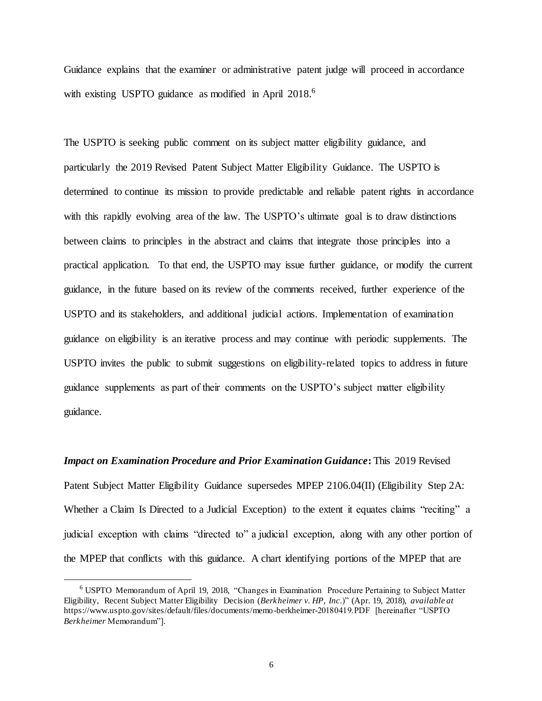Guidance explains that the examiner or administrative patent judge will proceed in accordance with existing USPTO guidance as modified in April 2018.<sup>6</sup>

The USPTO is seeking public comment on its subject matter eligibility guidance, and particularly the 2019 Revised Patent Subject Matter Eligibility Guidance. The USPTO is determined to continue its mission to provide predictable and reliable patent rights in accordance with this rapidly evolving area of the law. The USPTO's ultimate goal is to draw distinctions between claims to principles in the abstract and claims that integrate those principles into a practical application. To that end, the USPTO may issue further guidance, or modify the current guidance, in the future based on its review of the comments received, further experience of the USPTO and its stakeholders, and additional judicial actions. Implementation of examination guidance on eligibility is an iterative process and may continue with periodic supplements. The USPTO invites the public to submit suggestions on eligibility-related topics to address in future guidance supplements as part of their comments on the USPTO's subject matter eligibility guidance.

*Impact on Examination Procedure and Prior Examination Guidance***:** This 2019 Revised Patent Subject Matter Eligibility Guidance supersedes MPEP 2106.04(II) (Eligibility Step 2A: Whether a Claim Is Directed to a Judicial Exception) to the extent it equates claims "reciting" a judicial exception with claims "directed to" a judicial exception, along with any other portion of the MPEP that conflicts with this guidance. A chart identifying portions of the MPEP that are

<sup>6</sup> USPTO Memorandum of April 19, 2018, "Changes in Examination Procedure Pertaining to Subject Matter Eligibility, Recent Subject Matter Eligibility Decision (*Berkheimer v. HP, Inc.*)" (Apr. 19, 2018), *available at* https://www.uspto.gov/sites/default/files/documents/memo-berkheimer-20180419.PDF [hereinafter "USPTO *Berkheimer* Memorandum"].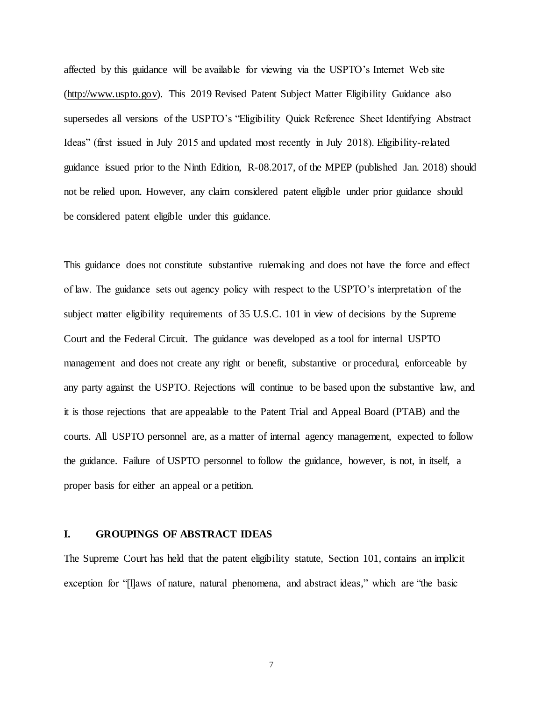affected by this guidance will be available for viewing via the USPTO's Internet Web site (http://www.uspto.gov). This 2019 Revised Patent Subject Matter Eligibility Guidance also supersedes all versions of the USPTO's "Eligibility Quick Reference Sheet Identifying Abstract Ideas" (first issued in July 2015 and updated most recently in July 2018). Eligibility-related guidance issued prior to the Ninth Edition, R-08.2017, of the MPEP (published Jan. 2018) should not be relied upon. However, any claim considered patent eligible under prior guidance should be considered patent eligible under this guidance.

This guidance does not constitute substantive rulemaking and does not have the force and effect of law. The guidance sets out agency policy with respect to the USPTO's interpretation of the subject matter eligibility requirements of 35 U.S.C. 101 in view of decisions by the Supreme Court and the Federal Circuit. The guidance was developed as a tool for internal USPTO management and does not create any right or benefit, substantive or procedural, enforceable by any party against the USPTO. Rejections will continue to be based upon the substantive law, and it is those rejections that are appealable to the Patent Trial and Appeal Board (PTAB) and the courts. All USPTO personnel are, as a matter of internal agency management, expected to follow the guidance. Failure of USPTO personnel to follow the guidance, however, is not, in itself, a proper basis for either an appeal or a petition.

#### **I. GROUPINGS OF ABSTRACT IDEAS**

The Supreme Court has held that the patent eligibility statute, Section 101, contains an implicit exception for "[l]aws of nature, natural phenomena, and abstract ideas," which are "the basic

7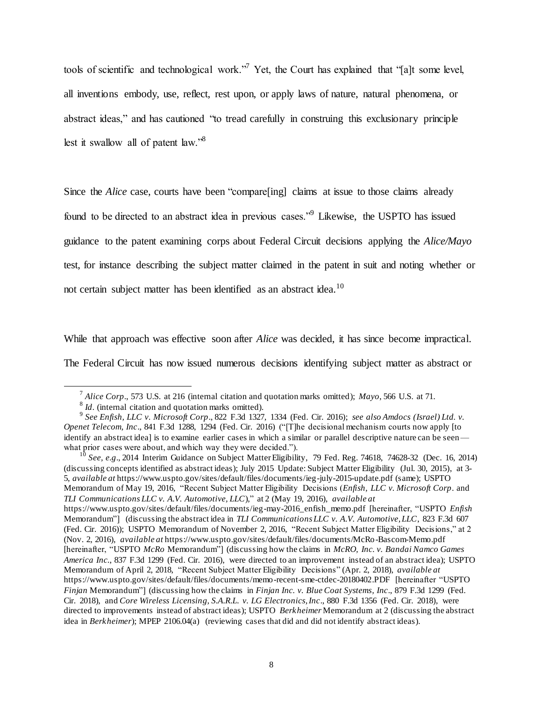tools of scientific and technological work."<sup>7</sup> Yet, the Court has explained that "[a]t some level, all inventions embody, use, reflect, rest upon, or apply laws of nature, natural phenomena, or abstract ideas," and has cautioned "to tread carefully in construing this exclusionary principle lest it swallow all of patent law."<sup>8</sup>

Since the *Alice* case, courts have been "compare[ing] claims at issue to those claims already found to be directed to an abstract idea in previous cases."<sup>9</sup> Likewise, the USPTO has issued guidance to the patent examining corps about Federal Circuit decisions applying the *Alice/Mayo* test, for instance describing the subject matter claimed in the patent in suit and noting whether or not certain subject matter has been identified as an abstract idea.<sup>10</sup>

While that approach was effective soon after *Alice* was decided, it has since become impractical.

The Federal Circuit has now issued numerous decisions identifying subject matter as abstract or

 $\overline{a}$ 

<sup>10</sup> *See, e.g*., 2014 Interim Guidance on Subject Matter Eligibility, 79 Fed. Reg. 74618, 74628-32 (Dec. 16, 2014) (discussing concepts identified as abstract ideas); July 2015 Update: Subject Matter Eligibility (Jul. 30, 2015), at 3- 5, *available at* https://www.uspto.gov/sites/default/files/documents/ieg-july-2015-update.pdf (same); USPTO Memorandum of May 19, 2016, "Recent Subject Matter Eligibility Decisions (*Enfish, LLC v. Microsoft Corp*. and *TLI Communications LLC v. A.V. Automotive, LLC*)," at 2 (May 19, 2016), *available at* https://www.uspto.gov/sites/default/files/documents/ieg-may-2016\_enfish\_memo.pdf [hereinafter, "USPTO *Enfish*

Memorandum"] (discussing the abstract idea in *TLI Communications LLC v. A.V. Automotive, LLC*, 823 F.3d 607 (Fed. Cir. 2016)); USPTO Memorandum of November 2, 2016, "Recent Subject Matter Eligibility Decisions," at 2 (Nov. 2, 2016), *available at* https://www.uspto.gov/sites/default/files/documents/McRo-Bascom-Memo.pdf [hereinafter, "USPTO *McRo* Memorandum"] (discussing how the claims in *McRO, Inc. v. Bandai Namco Games America Inc.*, 837 F.3d 1299 (Fed. Cir. 2016), were directed to an improvement instead of an abstract idea); USPTO Memorandum of April 2, 2018, "Recent Subject Matter Eligibility Decisions" (Apr. 2, 2018), *available at* https://www.uspto.gov/sites/default/files/documents/memo-recent-sme-ctdec-20180402.PDF [hereinafter "USPTO *Finjan* Memorandum"] (discussing how the claims in *Finjan Inc. v. Blue Coat Systems, Inc*., 879 F.3d 1299 (Fed. Cir. 2018), and *Core Wireless Licensing, S.A.R.L. v. LG Electronics, Inc*., 880 F.3d 1356 (Fed. Cir. 2018), were directed to improvements instead of abstract ideas); USPTO *Berkheimer* Memorandum at 2 (discussing the abstract idea in *Berkheimer*); MPEP 2106.04(a) (reviewing cases that did and did not identify abstract ideas).

<sup>7</sup> *Alice Corp*., 573 U.S. at 216 (internal citation and quotation marks omitted); *Mayo*, 566 U.S. at 71.

<sup>&</sup>lt;sup>8</sup> *Id*. (internal citation and quotation marks omitted).

<sup>9</sup> *See Enfish, LLC v. Microsoft Corp*., 822 F.3d 1327, 1334 (Fed. Cir. 2016); *see also Amdocs (Israel) Ltd. v. Openet Telecom, Inc*., 841 F.3d 1288, 1294 (Fed. Cir. 2016) ("[T]he decisional mechanism courts now apply [to identify an abstract idea] is to examine earlier cases in which a similar or parallel descriptive nature can be seen what prior cases were about, and which way they were decided.").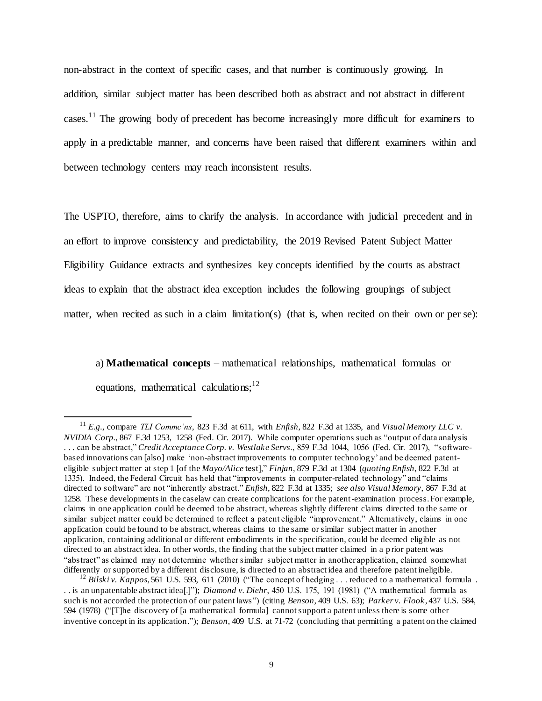non-abstract in the context of specific cases, and that number is continuously growing. In addition, similar subject matter has been described both as abstract and not abstract in different cases.<sup>11</sup> The growing body of precedent has become increasingly more difficult for examiners to apply in a predictable manner, and concerns have been raised that different examiners within and between technology centers may reach inconsistent results.

The USPTO, therefore, aims to clarify the analysis. In accordance with judicial precedent and in an effort to improve consistency and predictability, the 2019 Revised Patent Subject Matter Eligibility Guidance extracts and synthesizes key concepts identified by the courts as abstract ideas to explain that the abstract idea exception includes the following groupings of subject matter, when recited as such in a claim limitation(s) (that is, when recited on their own or per se):

a) **Mathematical concepts** – mathematical relationships, mathematical formulas or equations, mathematical calculations;  $12$ 

<sup>11</sup> *E.g.*, compare *TLI Commc'ns*, 823 F.3d at 611, with *Enfish*, 822 F.3d at 1335, and *Visual Memory LLC v. NVIDIA Corp.*, 867 F.3d 1253, 1258 (Fed. Cir. 2017). While computer operations such as "output of data analysis . . . can be abstract," *Credit Acceptance Corp. v. Westlake Servs*., 859 F.3d 1044, 1056 (Fed. Cir. 2017), "softwarebased innovations can [also] make 'non-abstract improvements to computer technology' and be deemed patenteligible subject matter at step 1 [of the *Mayo/Alice* test]," *Finjan*, 879 F.3d at 1304 (*quoting Enfish*, 822 F.3d at 1335). Indeed, the Federal Circuit has held that "improvements in computer-related technology" and "claims directed to software" are not "inherently abstract." *Enfish*, 822 F.3d at 1335; *see also Visual Memory*, 867 F.3d at 1258. These developments in the caselaw can create complications for the patent-examination process. For example, claims in one application could be deemed to be abstract, whereas slightly different claims directed to the same or similar subject matter could be determined to reflect a patent eligible "improvement." Alternatively, claims in one application could be found to be abstract, whereas claims to the same or similar subject matter in another application, containing additional or different embodiments in the specification, could be deemed eligible as not directed to an abstract idea. In other words, the finding that the subject matter claimed in a p rior patent was "abstract" as claimed may not determine whether similar subject matter in another application, claimed somewhat differently or supported by a different disclosure, is directed to an abstract idea and therefore patent ineligible.

<sup>&</sup>lt;sup>12</sup> Bilski v. Kappos, 561 U.S. 593, 611 (2010) ("The concept of hedging . . . reduced to a mathematical formula . . . is an unpatentable abstract idea[.]"); *Diamond v. Diehr*, 450 U.S. 175, 191 (1981) ("A mathematical formula as such is not accorded the protection of our patent laws") (citing *Benson*, 409 U.S. 63); *Parker v. Flook* , 437 U.S. 584, 594 (1978) ("[T]he discovery of [a mathematical formula] cannot support a patent unless there is some other inventive concept in its application."); *Benson*, 409 U.S. at 71-72 (concluding that permitting a patent on the claimed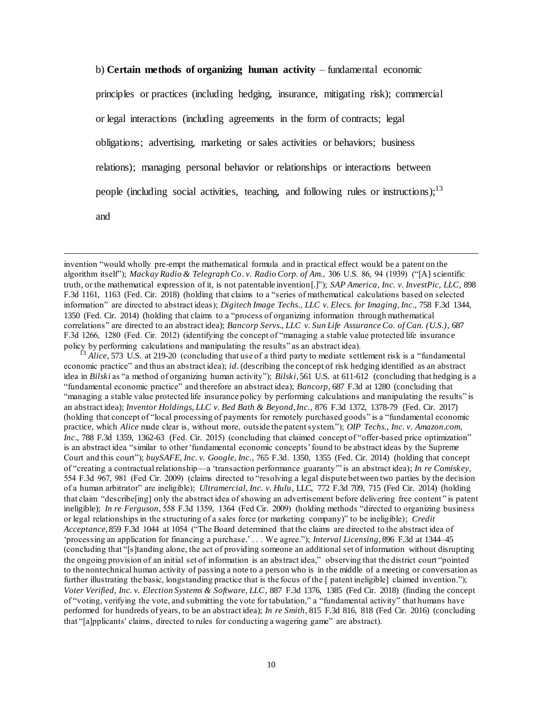b) **Certain methods of organizing human activity** – fundamental economic principles or practices (including hedging, insurance, mitigating risk); commercial or legal interactions (including agreements in the form of contracts; legal obligations; advertising, marketing or sales activities or behaviors; business relations); managing personal behavior or relationships or interactions between people (including social activities, teaching, and following rules or instructions):  $13$ and

invention "would wholly pre-empt the mathematical formula and in practical effect would be a patent on the algorithm itself"); *Mackay Radio & Telegraph Co*. *v. Radio Corp. of Am.*, 306 U.S. 86, 94 (1939) ("[A] scientific truth, or the mathematical expression of it, is not patentable invention[.]"); *SAP America, Inc. v. InvestPic, LLC*, 898 F.3d 1161, 1163 (Fed. Cir. 2018) (holding that claims to a "series of mathematical calculations based on selected information" are directed to abstract ideas); *Digitech Image Techs., LLC v. Elecs. for Imaging, Inc.*, 758 F.3d 1344, 1350 (Fed. Cir. 2014) (holding that claims to a "process of organizing information through mathematical correlations" are directed to an abstract idea); *Bancorp Servs., LLC v. Sun Life Assurance Co. of Can. (U.S.)*, 687 F.3d 1266, 1280 (Fed. Cir. 2012) (identifying the concept of "managing a stable value protected life insuranc e policy by performing calculations and manipulating the results" as an abstract idea).

 $\overline{a}$ 

Alice, 573 U.S. at 219-20 (concluding that use of a third party to mediate settlement risk is a "fundamental" economic practice" and thus an abstract idea); *id*. (describing the concept of risk hedging identified as an abstract idea in *Bilski* as "a method of organizing human activity"); *Bilski*, 561 U.S. at 611-612 (concluding that hedging is a "fundamental economic practice" and therefore an abstract idea); *Bancorp*, 687 F.3d at 1280 (concluding that "managing a stable value protected life insurance policy by performing calculations and manipulating the results" is an abstract idea); *Inventor Holdings, LLC v. Bed Bath & Beyond, Inc.*, 876 F.3d 1372, 1378-79 (Fed. Cir. 2017) (holding that concept of "local processing of payments for remotely purchased goods" is a "fundamental economic practice, which *Alice* made clear is, without more, outside the patent system."); *OIP Techs., Inc. v. Amazon.com, Inc*., 788 F.3d 1359, 1362-63 (Fed. Cir. 2015) (concluding that claimed concept of "offer-based price optimization" is an abstract idea "similar to other 'fundamental economic concepts' found to be abstract ideas by the Supreme Court and this court"); *buySAFE, Inc. v. Google, Inc.*, 765 F.3d. 1350, 1355 (Fed. Cir. 2014) (holding that concept of "creating a contractual relationship—a 'transaction performance guaranty'" is an abstract idea); *In re Comiskey*, 554 F.3d 967, 981 (Fed Cir. 2009) (claims directed to "resolving a legal dispute between two parties by the decision of a human arbitrator" are ineligible); *Ultramercial, Inc. v. Hulu*, LLC, 772 F.3d 709, 715 (Fed Cir. 2014) (holding that claim "describe[ing] only the abstract idea of showing an advertisement before delivering free content " is patent ineligible); *In re Ferguson*, 558 F.3d 1359, 1364 (Fed Cir. 2009) (holding methods "directed to organizing business or legal relationships in the structuring of a sales force (or marketing company)" to be ineligible); *Credit Acceptance*, 859 F.3d 1044 at 1054 ("The Board determined that the claims are directed to the abstract idea of 'processing an application for financing a purchase.' . . . We agree."); *Interval Licensing*, 896 F.3d at 1344–45 (concluding that "[s]tanding alone, the act of providing someone an additional set of information without disrupting the ongoing provision of an initial set of information is an abstract idea," observing that the district court "pointed to the nontechnical human activity of passing a note to a person who is in the middle of a meeting or conversation as further illustrating the basic, longstanding practice that is the focus of the [ patent ineligible] claimed invention."); *Voter Verified, Inc. v. Election Systems & Software, LLC*, 887 F.3d 1376, 1385 (Fed Cir. 2018) (finding the concept of "voting, verifying the vote, and submitting the vote for tabulation," a "fundamental activity" that humans have performed for hundreds of years, to be an abstract idea); *In re Smith*, 815 F.3d 816, 818 (Fed Cir. 2016) (concluding that "[a]pplicants' claims, directed to rules for conducting a wagering game" are abstract).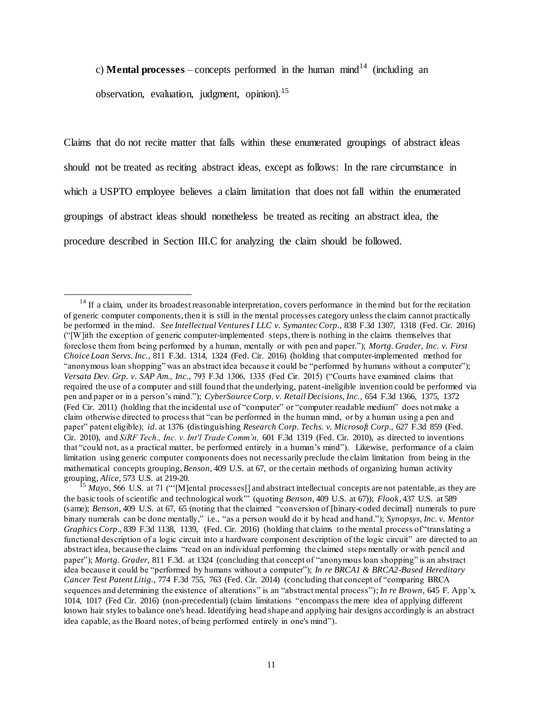c) **Mental processes** – concepts performed in the human mind<sup>14</sup> (including an observation, evaluation, judgment, opinion).<sup>15</sup>

Claims that do not recite matter that falls within these enumerated groupings of abstract ideas should not be treated as reciting abstract ideas, except as follows: In the rare circumstance in which a USPTO employee believes a claim limitation that does not fall within the enumerated groupings of abstract ideas should nonetheless be treated as reciting an abstract idea, the procedure described in Section III.C for analyzing the claim should be followed.

l

 $14$  If a claim, under its broadest reasonable interpretation, covers performance in the mind but for the recitation of generic computer components, then it is still in the mental processes category unless the claim cannot practically be performed in the mind. *See Intellectual Ventures I LLC v. Symantec Corp.*, 838 F.3d 1307, 1318 (Fed. Cir. 2016) ("[W]ith the exception of generic computer-implemented steps, there is nothing in the claims themselves that foreclose them from being performed by a human, mentally or with pen and paper."); *Mortg. Grader, Inc. v. First Choice Loan Servs. Inc.*, 811 F.3d. 1314, 1324 (Fed. Cir. 2016) (holding that computer-implemented method for "anonymous loan shopping" was an abstract idea because it could be "performed by humans without a computer"); *Versata Dev. Grp. v. SAP Am., Inc.*, 793 F.3d 1306, 1335 (Fed Cir. 2015) ("Courts have examined claims that required the use of a computer and still found that the underlying, patent-ineligible invention could be performed via pen and paper or in a person's mind."); *CyberSource Corp. v. Retail Decisions, Inc.*, 654 F.3d 1366, 1375, 1372 (Fed Cir. 2011) (holding that the incidental use of "computer" or "computer readable medium" does not make a claim otherwise directed to process that "can be performed in the human mind, or by a human using a pen and paper" patent eligible); *id*. at 1376 (distinguishing *Research Corp. Techs. v. Microsoft Corp.,* 627 F.3d 859 (Fed. Cir. 2010), and *SiRF Tech., Inc. v. Int'l Trade Comm'n,* 601 F.3d 1319 (Fed. Cir. 2010), as directed to inventions that "could not, as a practical matter, be performed entirely in a human's mind"). Likewise, performance of a claim limitation using generic computer components does not necessarily preclude the claim limitation from being in the mathematical concepts grouping, *Benson*, 409 U.S. at 67, or the certain methods of organizing human activity grouping, *Alice*, 573 U.S. at 219-20.

 $15$  *Mayo*, 566 U.S. at 71 ("'[M]ental processes] and abstract intellectual concepts are not patentable, as they are the basic tools of scientific and technological work'" (quoting *Benson*, 409 U.S. at 67)); *Flook*, 437 U.S. at 589 (same); *Benson*, 409 U.S. at 67, 65 (noting that the claimed "conversion of [binary-coded decimal] numerals to pure binary numerals can be done mentally," i.e., "as a person would do it by head and hand."); *Synopsys, Inc. v. Mentor Graphics Corp.*, 839 F.3d 1138, 1139, (Fed. Cir. 2016) (holding that claims to the mental process of "translating a functional description of a logic circuit into a hardware component description of the logic circuit" are directed to an abstract idea, because the claims "read on an individual performing the claimed steps mentally or with pencil and paper"); *Mortg. Grader*, 811 F.3d. at 1324 (concluding that concept of "anonymous loan shopping" is an abstract idea because it could be "performed by humans without a computer"); *In re BRCA1 & BRCA2-Based Hereditary Cancer Test Patent Litig.*, 774 F.3d 755, 763 (Fed. Cir. 2014) (concluding that concept of "comparing BRCA sequences and determining the existence of alterations" is an "abstract mental process"); *In re Brown*, 645 F. App'x. 1014, 1017 (Fed Cir. 2016) (non-precedential) (claim limitations "encompass the mere idea of applying different known hair styles to balance one's head. Identifying head shape and applying hair designs accordingly is an abstract idea capable, as the Board notes, of being performed entirely in one's mind").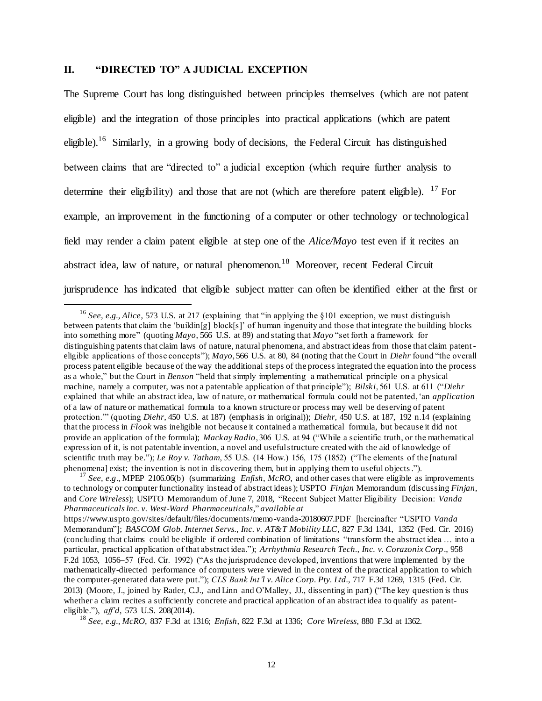### **II. "DIRECTED TO" A JUDICIAL EXCEPTION**

 $\overline{a}$ 

The Supreme Court has long distinguished between principles themselves (which are not patent eligible) and the integration of those principles into practical applications (which are patent eligible).<sup>16</sup> Similarly, in a growing body of decisions, the Federal Circuit has distinguished between claims that are "directed to" a judicial exception (which require further analysis to determine their eligibility) and those that are not (which are therefore patent eligible).  $^{17}$  For example, an improvement in the functioning of a computer or other technology or technological field may render a claim patent eligible at step one of the *Alice/Mayo* test even if it recites an abstract idea, law of nature, or natural phenomenon.<sup>18</sup> Moreover, recent Federal Circuit jurisprudence has indicated that eligible subject matter can often be identified either at the first or

<sup>16</sup> *See, e.g., Alice*, 573 U.S. at 217 (explaining that "in applying the §101 exception, we must distinguish between patents that claim the 'buildin[g] block[s]' of human ingenuity and those that integrate the building blocks into something more" (quoting *Mayo*, 566 U.S. at 89) and stating that *Mayo* "set forth a framework for distinguishing patents that claim laws of nature, natural phenomena, and abstract ideas from those that claim patenteligible applications of those concepts"); *Mayo*, 566 U.S. at 80, 84 (noting that the Court in *Diehr* found "the overall process patent eligible because of the way the additional steps of the process integrated the equation into the process as a whole," but the Court in *Benson* "held that simply implementing a mathematical principle on a physical machine, namely a computer, was not a patentable application of that principle"); *Bilski*, 561 U.S. at 611 ("*Diehr* explained that while an abstract idea, law of nature, or mathematical formula could not be patented, 'an *application* of a law of nature or mathematical formula to a known structure or process may well be deserving of patent protection.'" (quoting *Diehr*, 450 U.S. at 187) (emphasis in original)); *Diehr,* 450 U.S. at 187, 192 n.14 (explaining that the process in *Flook* was ineligible not because it contained a mathematical formula, but because it did not provide an application of the formula); *Mackay Radio*, 306 U.S. at 94 ("While a scientific truth, or the mathematical expression of it, is not patentable invention, a novel and useful structure created with the aid of knowledge of scientific truth may be."); *Le Roy v. Tatham*, 55 U.S. (14 How.) 156, 175 (1852) ("The elements of the [natural phenomena] exist; the invention is not in discovering them, but in applying them to useful objects.").

<sup>17</sup> *See, e.g*., MPEP 2106.06(b) (summarizing *Enfish*, *McRO*, and other cases that were eligible as improvements to technology or computer functionality instead of abstract ideas); USPTO *Finjan* Memorandum (discussing *Finjan*, and *Core Wireless*); USPTO Memorandum of June 7, 2018, "Recent Subject Matter Eligibility Decision: *Vanda Pharmaceuticals Inc. v. West-Ward Pharmaceuticals*," *available at*

https://www.uspto.gov/sites/default/files/documents/memo-vanda-20180607.PDF [hereinafter "USPTO *Vanda* Memorandum"]; *BASCOM Glob. Internet Servs., Inc. v. AT&T Mobility LLC*, 827 F.3d 1341, 1352 (Fed. Cir. 2016) (concluding that claims could be eligible if ordered combination of limitations "transform the abstract idea … into a particular, practical application of that abstract idea."); *Arrhythmia Research Tech., Inc. v. Corazonix Corp*., 958 F.2d 1053, 1056–57 (Fed. Cir. 1992) ("As the jurisprudence developed, inventions that were implemented by the mathematically-directed performance of computers were viewed in the context of the practical application to which the computer-generated data were put."); *CLS Bank Int'l v. Alice Corp. Pty. Ltd.*, 717 F.3d 1269, 1315 (Fed. Cir. 2013) (Moore, J., joined by Rader, C.J., and Linn and O'Malley, JJ., dissenting in part) ("The key question is thus whether a claim recites a sufficiently concrete and practical application of an abstract idea to qualify as patenteligible."), *aff'd*, 573 U.S. 208(2014).

<sup>18</sup> *See, e.g., McRO*, 837 F.3d at 1316; *Enfish*, 822 F.3d at 1336; *Core Wireless*, 880 F.3d at 1362.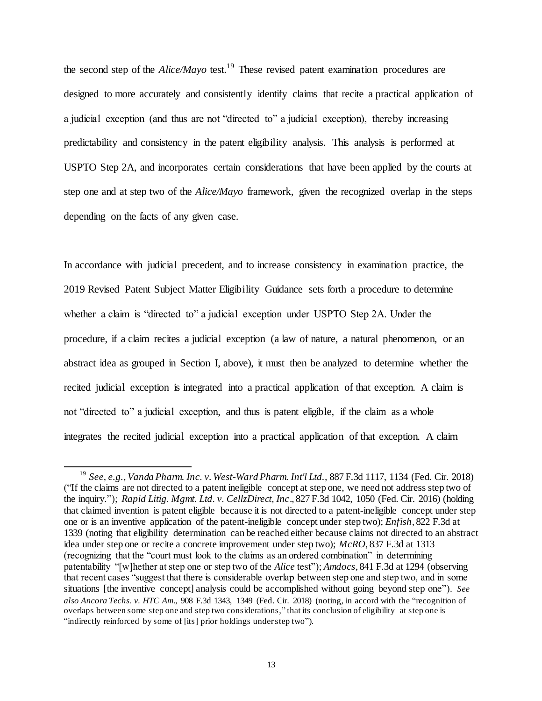the second step of the *Alice/Mayo* test.<sup>19</sup> These revised patent examination procedures are designed to more accurately and consistently identify claims that recite a practical application of a judicial exception (and thus are not "directed to" a judicial exception), thereby increasing predictability and consistency in the patent eligibility analysis. This analysis is performed at USPTO Step 2A, and incorporates certain considerations that have been applied by the courts at step one and at step two of the *Alice/Mayo* framework, given the recognized overlap in the steps depending on the facts of any given case.

In accordance with judicial precedent, and to increase consistency in examination practice, the 2019 Revised Patent Subject Matter Eligibility Guidance sets forth a procedure to determine whether a claim is "directed to" a judicial exception under USPTO Step 2A. Under the procedure, if a claim recites a judicial exception (a law of nature, a natural phenomenon, or an abstract idea as grouped in Section I, above), it must then be analyzed to determine whether the recited judicial exception is integrated into a practical application of that exception. A claim is not "directed to" a judicial exception, and thus is patent eligible, if the claim as a whole integrates the recited judicial exception into a practical application of that exception. A claim

<sup>19</sup> *See, e.g., Vanda Pharm. Inc. v. West-Ward Pharm. Int'l Ltd.,* 887 F.3d 1117, 1134 (Fed. Cir. 2018) ("If the claims are not directed to a patent ineligible concept at step one, we need not address step two of the inquiry."); *Rapid Litig. Mgmt. Ltd. v. CellzDirect, Inc*., 827 F.3d 1042, 1050 (Fed. Cir. 2016) (holding that claimed invention is patent eligible because it is not directed to a patent-ineligible concept under step one or is an inventive application of the patent-ineligible concept under step two); *Enfish*, 822 F.3d at 1339 (noting that eligibility determination can be reached either because claims not directed to an abstract idea under step one or recite a concrete improvement under step two); *McRO*, 837 F.3d at 1313 (recognizing that the "court must look to the claims as an ordered combination" in determining patentability "[w]hether at step one or step two of the *Alice* test"); *Amdocs*, 841 F.3d at 1294 (observing that recent cases "suggest that there is considerable overlap between step one and step two, and in some situations [the inventive concept] analysis could be accomplished without going beyond step one"). *See also Ancora Techs. v. HTC Am*., 908 F.3d 1343, 1349 (Fed. Cir. 2018) (noting, in accord with the "recognition of overlaps between some step one and step two considerations," that its conclusion of eligibility at step one is "indirectly reinforced by some of [its] prior holdings under step two").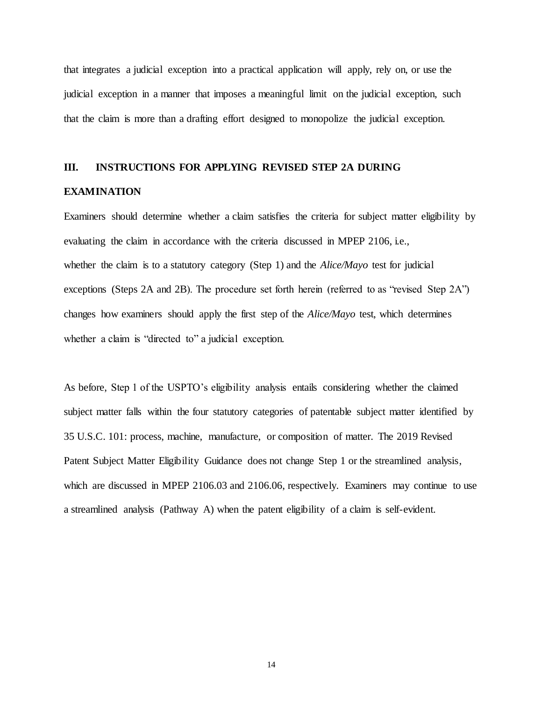that integrates a judicial exception into a practical application will apply, rely on, or use the judicial exception in a manner that imposes a meaningful limit on the judicial exception, such that the claim is more than a drafting effort designed to monopolize the judicial exception.

### **III. INSTRUCTIONS FOR APPLYING REVISED STEP 2A DURING**

#### **EXAMINATION**

Examiners should determine whether a claim satisfies the criteria for subject matter eligibility by evaluating the claim in accordance with the criteria discussed in MPEP 2106, i.e., whether the claim is to a statutory category (Step 1) and the *Alice/Mayo* test for judicial exceptions (Steps 2A and 2B). The procedure set forth herein (referred to as "revised Step 2A") changes how examiners should apply the first step of the *Alice/Mayo* test, which determines whether a claim is "directed to" a judicial exception.

As before, Step 1 of the USPTO's eligibility analysis entails considering whether the claimed subject matter falls within the four statutory categories of patentable subject matter identified by 35 U.S.C. 101: process, machine, manufacture, or composition of matter. The 2019 Revised Patent Subject Matter Eligibility Guidance does not change Step 1 or the streamlined analysis, which are discussed in MPEP 2106.03 and 2106.06, respectively. Examiners may continue to use a streamlined analysis (Pathway A) when the patent eligibility of a claim is self-evident.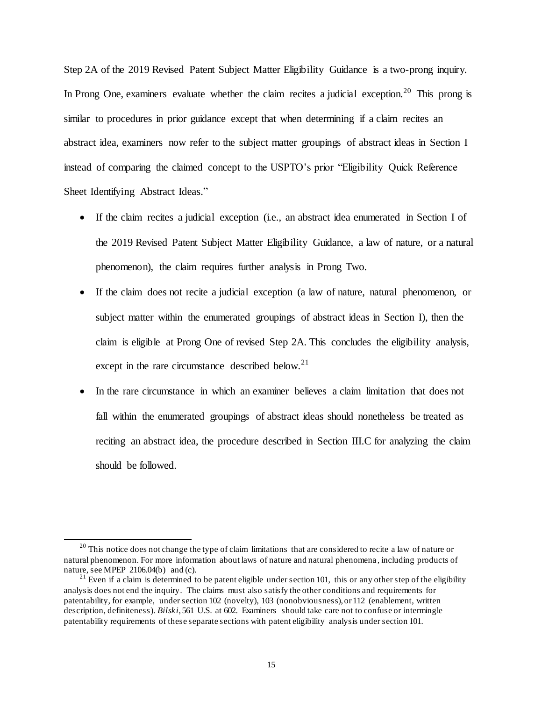Step 2A of the 2019 Revised Patent Subject Matter Eligibility Guidance is a two-prong inquiry. In Prong One, examiners evaluate whether the claim recites a judicial exception.<sup>20</sup> This prong is similar to procedures in prior guidance except that when determining if a claim recites an abstract idea, examiners now refer to the subject matter groupings of abstract ideas in Section I instead of comparing the claimed concept to the USPTO's prior "Eligibility Quick Reference Sheet Identifying Abstract Ideas."

- If the claim recites a judicial exception (i.e., an abstract idea enumerated in Section I of the 2019 Revised Patent Subject Matter Eligibility Guidance, a law of nature, or a natural phenomenon), the claim requires further analysis in Prong Two.
- If the claim does not recite a judicial exception (a law of nature, natural phenomenon, or subject matter within the enumerated groupings of abstract ideas in Section I), then the claim is eligible at Prong One of revised Step 2A. This concludes the eligibility analysis, except in the rare circumstance described below. $21$
- In the rare circumstance in which an examiner believes a claim limitation that does not fall within the enumerated groupings of abstract ideas should nonetheless be treated as reciting an abstract idea, the procedure described in Section III.C for analyzing the claim should be followed.

<sup>&</sup>lt;sup>20</sup> This notice does not change the type of claim limitations that are considered to recite a law of nature or natural phenomenon. For more information about laws of nature and natural phenomena , including products of nature, see MPEP 2106.04(b) and (c).

 $21$  Even if a claim is determined to be patent eligible under section 101, this or any other step of the eligibility analysis does not end the inquiry. The claims must also satisfy the other conditions and requirements for patentability, for example, under section 102 (novelty), 103 (nonobviousness), or 112 (enablement, written description, definiteness). *Bilski*, 561 U.S. at 602. Examiners should take care not to confuse or intermingle patentability requirements of these separate sections with patent eligibility analysis under section 101.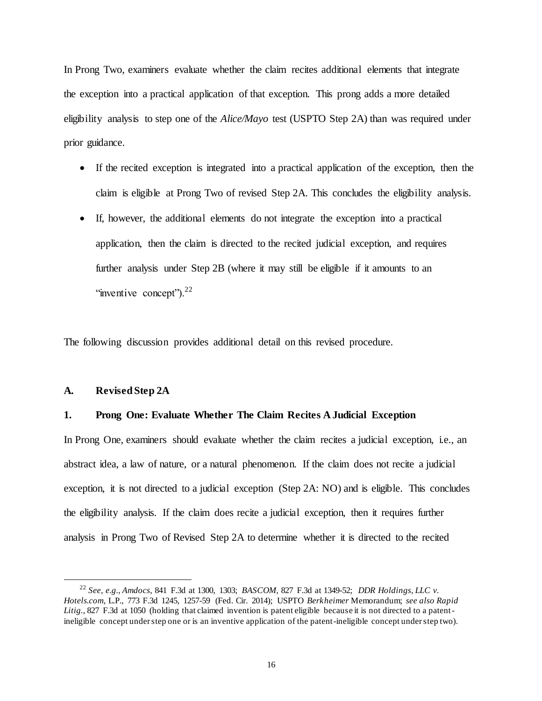In Prong Two, examiners evaluate whether the claim recites additional elements that integrate the exception into a practical application of that exception. This prong adds a more detailed eligibility analysis to step one of the *Alice/Mayo* test (USPTO Step 2A) than was required under prior guidance.

- If the recited exception is integrated into a practical application of the exception, then the claim is eligible at Prong Two of revised Step 2A. This concludes the eligibility analysis.
- If, however, the additional elements do not integrate the exception into a practical application, then the claim is directed to the recited judicial exception, and requires further analysis under Step 2B (where it may still be eligible if it amounts to an "inventive concept"). $22$

The following discussion provides additional detail on this revised procedure.

#### **A. Revised Step 2A**

 $\overline{a}$ 

#### **1. Prong One: Evaluate Whether The Claim Recites A Judicial Exception**

In Prong One, examiners should evaluate whether the claim recites a judicial exception, i.e., an abstract idea, a law of nature, or a natural phenomenon. If the claim does not recite a judicial exception, it is not directed to a judicial exception (Step 2A: NO) and is eligible. This concludes the eligibility analysis. If the claim does recite a judicial exception, then it requires further analysis in Prong Two of Revised Step 2A to determine whether it is directed to the recited

<sup>22</sup> *See, e.g.*, *Amdocs*, 841 F.3d at 1300, 1303; *BASCOM,* 827 F.3d at 1349-52; *DDR Holdings, LLC v. Hotels.com*, L.P., 773 F.3d 1245, 1257-59 (Fed. Cir. 2014); USPTO *Berkheimer* Memorandum; *see also Rapid Litig.*, 827 F.3d at 1050 (holding that claimed invention is patent eligible because it is not directed to a patentineligible concept under step one or is an inventive application of the patent-ineligible concept understep two).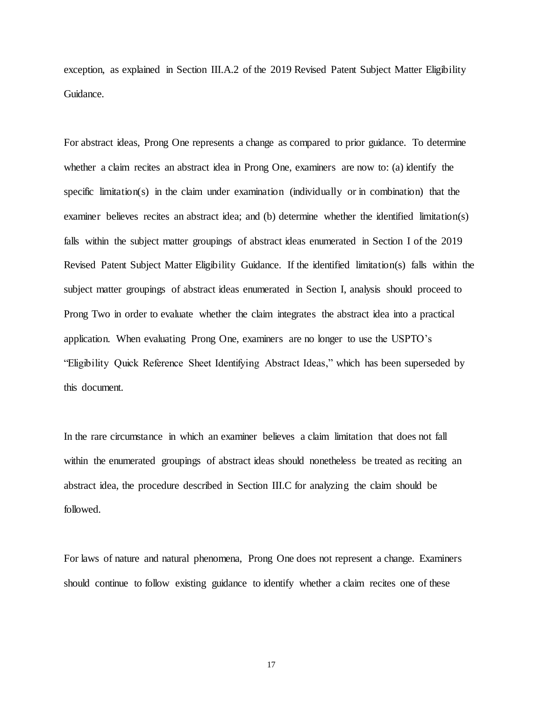exception, as explained in Section III.A.2 of the 2019 Revised Patent Subject Matter Eligibility Guidance.

For abstract ideas, Prong One represents a change as compared to prior guidance. To determine whether a claim recites an abstract idea in Prong One, examiners are now to: (a) identify the specific limitation(s) in the claim under examination (individually or in combination) that the examiner believes recites an abstract idea; and (b) determine whether the identified limitation(s) falls within the subject matter groupings of abstract ideas enumerated in Section I of the 2019 Revised Patent Subject Matter Eligibility Guidance. If the identified limitation(s) falls within the subject matter groupings of abstract ideas enumerated in Section I, analysis should proceed to Prong Two in order to evaluate whether the claim integrates the abstract idea into a practical application. When evaluating Prong One, examiners are no longer to use the USPTO's "Eligibility Quick Reference Sheet Identifying Abstract Ideas," which has been superseded by this document.

In the rare circumstance in which an examiner believes a claim limitation that does not fall within the enumerated groupings of abstract ideas should nonetheless be treated as reciting an abstract idea, the procedure described in Section III.C for analyzing the claim should be followed.

For laws of nature and natural phenomena, Prong One does not represent a change. Examiners should continue to follow existing guidance to identify whether a claim recites one of these

17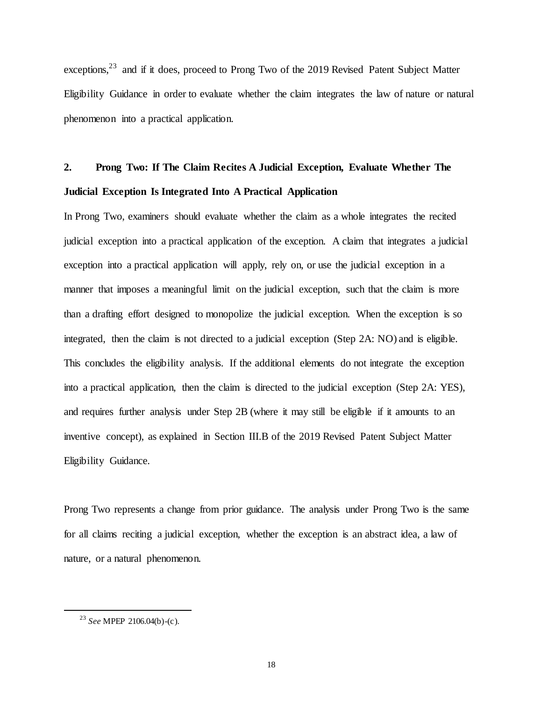exceptions,  $23$  and if it does, proceed to Prong Two of the 2019 Revised Patent Subject Matter Eligibility Guidance in order to evaluate whether the claim integrates the law of nature or natural phenomenon into a practical application.

# **2. Prong Two: If The Claim Recites A Judicial Exception, Evaluate Whether The Judicial Exception Is Integrated Into A Practical Application**

In Prong Two, examiners should evaluate whether the claim as a whole integrates the recited judicial exception into a practical application of the exception. A claim that integrates a judicial exception into a practical application will apply, rely on, or use the judicial exception in a manner that imposes a meaningful limit on the judicial exception, such that the claim is more than a drafting effort designed to monopolize the judicial exception. When the exception is so integrated, then the claim is not directed to a judicial exception (Step 2A: NO) and is eligible. This concludes the eligibility analysis. If the additional elements do not integrate the exception into a practical application, then the claim is directed to the judicial exception (Step 2A: YES), and requires further analysis under Step 2B (where it may still be eligible if it amounts to an inventive concept), as explained in Section III.B of the 2019 Revised Patent Subject Matter Eligibility Guidance.

Prong Two represents a change from prior guidance. The analysis under Prong Two is the same for all claims reciting a judicial exception, whether the exception is an abstract idea, a law of nature, or a natural phenomenon.

<sup>23</sup> *See* MPEP 2106.04(b)-(c).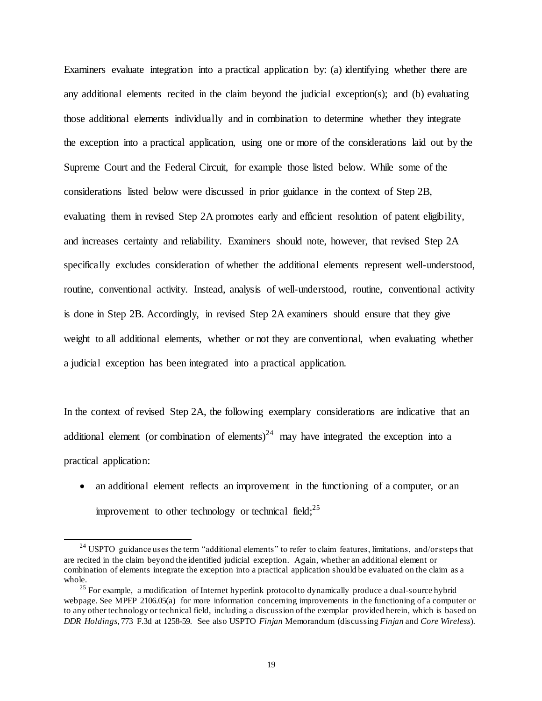Examiners evaluate integration into a practical application by: (a) identifying whether there are any additional elements recited in the claim beyond the judicial exception(s); and (b) evaluating those additional elements individually and in combination to determine whether they integrate the exception into a practical application, using one or more of the considerations laid out by the Supreme Court and the Federal Circuit, for example those listed below. While some of the considerations listed below were discussed in prior guidance in the context of Step 2B, evaluating them in revised Step 2A promotes early and efficient resolution of patent eligibility, and increases certainty and reliability. Examiners should note, however, that revised Step 2A specifically excludes consideration of whether the additional elements represent well-understood, routine, conventional activity. Instead, analysis of well-understood, routine, conventional activity is done in Step 2B. Accordingly, in revised Step 2A examiners should ensure that they give weight to all additional elements, whether or not they are conventional, when evaluating whether a judicial exception has been integrated into a practical application.

In the context of revised Step 2A, the following exemplary considerations are indicative that an additional element (or combination of elements)<sup>24</sup> may have integrated the exception into a practical application:

• an additional element reflects an improvement in the functioning of a computer, or an improvement to other technology or technical field;  $^{25}$ 

<sup>&</sup>lt;sup>24</sup> USPTO guidance uses the term "additional elements" to refer to claim features, limitations, and/or steps that are recited in the claim beyond the identified judicial exception. Again, whether an additional element or combination of elements integrate the exception into a practical application should be evaluated on the claim as a whole.

<sup>&</sup>lt;sup>25</sup> For example, a modification of Internet hyperlink protocol to dynamically produce a dual-source hybrid webpage. See MPEP 2106.05(a) for more information concerning improvements in the functioning of a computer or to any other technology or technical field, including a discussion of the exemplar provided herein, which is based on *DDR Holdings*, 773 F.3d at 1258-59. See also USPTO *Finjan* Memorandum (discussing *Finjan* and *Core Wireless*).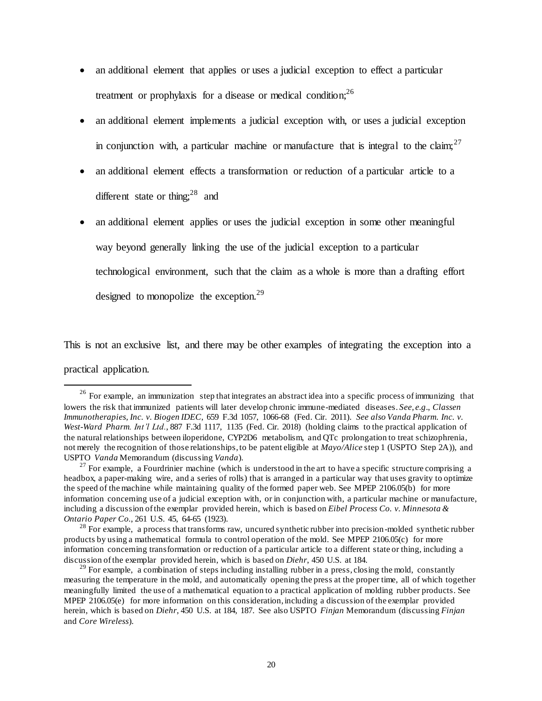- an additional element that applies or uses a judicial exception to effect a particular treatment or prophylaxis for a disease or medical condition;  $2^6$
- an additional element implements a judicial exception with, or uses a judicial exception in conjunction with, a particular machine or manufacture that is integral to the claim;  $27$
- an additional element effects a transformation or reduction of a particular article to a different state or thing:<sup>28</sup> and
- an additional element applies or uses the judicial exception in some other meaningful way beyond generally linking the use of the judicial exception to a particular technological environment, such that the claim as a whole is more than a drafting effort designed to monopolize the exception.<sup>29</sup>

This is not an exclusive list, and there may be other examples of integrating the exception into a

practical application.

<sup>&</sup>lt;sup>26</sup> For example, an immunization step that integrates an abstract idea into a specific process of immunizing that lowers the risk that immunized patients will later develop chronic immune-mediated diseases. *See, e.g*., *Classen Immunotherapies, Inc. v. Biogen IDEC*, 659 F.3d 1057, 1066-68 (Fed. Cir. 2011). *See also Vanda Pharm. Inc. v. West-Ward Pharm. Int'l Ltd.*, 887 F.3d 1117, 1135 (Fed. Cir. 2018) (holding claims to the practical application of the natural relationships between iloperidone, CYP2D6 metabolism, and QTc prolongation to treat schizophrenia, not merely the recognition of those relationships, to be patent eligible at *Mayo/Alice* step 1 (USPTO Step 2A)), and USPTO *Vanda* Memorandum (discussing *Vanda*).

<sup>&</sup>lt;sup>27</sup> For example, a Fourdrinier machine (which is understood in the art to have a specific structure comprising a headbox, a paper-making wire, and a series of rolls) that is arranged in a particular way that uses gravity to optimize the speed of the machine while maintaining quality of the formed paper web. See MPEP 2106.05(b) for more information concerning use of a judicial exception with, or in conjunction with, a particular machine or manufacture, including a discussion of the exemplar provided herein, which is based on *Eibel Process Co. v. Minnesota & Ontario Paper Co.*, 261 U.S. 45, 64-65 (1923).

<sup>&</sup>lt;sup>28</sup> For example, a process that transforms raw, uncured synthetic rubber into precision-molded synthetic rubber products by using a mathematical formula to control operation of the mold. See MPEP 2106.05(c) for more information concerning transformation or reduction of a particular article to a different state or thing, including a discussion of the exemplar provided herein, which is based on *Diehr*, 450 U.S. at 184.

<sup>&</sup>lt;sup>29</sup> For example, a combination of steps including installing rubber in a press, closing the mold, constantly measuring the temperature in the mold, and automatically opening the press at the proper time, all of which together meaningfully limited the use of a mathematical equation to a practical application of molding rubber products. See MPEP 2106.05(e) for more information on this consideration, including a discussion of the exemplar provided herein, which is based on *Diehr*, 450 U.S. at 184, 187. See also USPTO *Finjan* Memorandum (discussing *Finjan* and *Core Wireless*).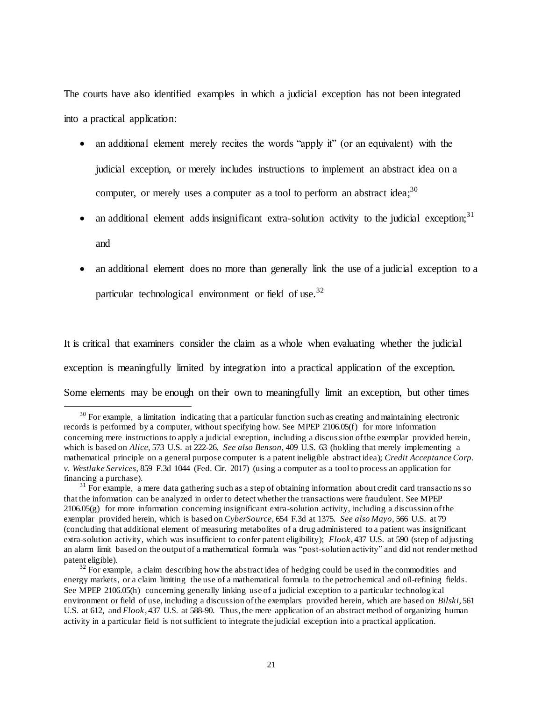The courts have also identified examples in which a judicial exception has not been integrated into a practical application:

- an additional element merely recites the words "apply it" (or an equivalent) with the judicial exception, or merely includes instructions to implement an abstract idea on a computer, or merely uses a computer as a tool to perform an abstract idea;<sup>30</sup>
- an additional element adds insignificant extra-solution activity to the judicial exception;<sup>31</sup> and
- an additional element does no more than generally link the use of a judicial exception to a particular technological environment or field of use.<sup>32</sup>

It is critical that examiners consider the claim as a whole when evaluating whether the judicial exception is meaningfully limited by integration into a practical application of the exception. Some elements may be enough on their own to meaningfully limit an exception, but other times

 $30$  For example, a limitation indicating that a particular function such as creating and maintaining electronic records is performed by a computer, without specifying how. See MPEP 2106.05(f) for more information concerning mere instructions to apply a judicial exception, including a discussion of the exemplar provided herein, which is based on *Alice*, 573 U.S. at 222-26. *See also Benson*, 409 U.S. 63 (holding that merely implementing a mathematical principle on a general purpose computer is a patent ineligible abstract idea); *Credit Acceptance Corp. v. Westlake Services*, 859 F.3d 1044 (Fed. Cir. 2017) (using a computer as a tool to process an application for financing a purchase).

 $31$  For example, a mere data gathering such as a step of obtaining information about credit card transactions so that the information can be analyzed in order to detect whether the transactions were fraudulent. See MPEP  $2106.05(g)$  for more information concerning insignificant extra-solution activity, including a discussion of the exemplar provided herein, which is based on *CyberSource*, 654 F.3d at 1375. *See also Mayo*, 566 U.S. at 79 (concluding that additional element of measuring metabolites of a drug administered to a patient was insignificant extra-solution activity, which was insufficient to confer patent eligibility); *Flook*, 437 U.S. at 590 (step of adjusting an alarm limit based on the output of a mathematical formula was "post-solution activity" and did not render method patent eligible).

 $32$  For example, a claim describing how the abstract idea of hedging could be used in the commodities and energy markets, or a claim limiting the use of a mathematical formula to the petrochemical and oil-refining fields. See MPEP 2106.05(h) concerning generally linking use of a judicial exception to a particular technolog ical environment or field of use, including a discussion of the exemplars provided herein, which are based on *Bilski*, 561 U.S. at 612, and *Flook*, 437 U.S. at 588-90. Thus, the mere application of an abstract method of organizing human activity in a particular field is not sufficient to integrate the judicial exception into a practical application.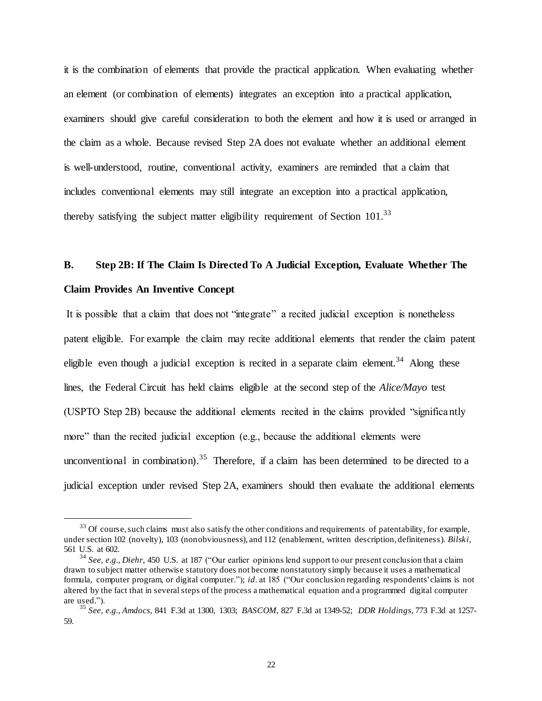it is the combination of elements that provide the practical application. When evaluating whether an element (or combination of elements) integrates an exception into a practical application, examiners should give careful consideration to both the element and how it is used or arranged in the claim as a whole. Because revised Step 2A does not evaluate whether an additional element is well-understood, routine, conventional activity, examiners are reminded that a claim that includes conventional elements may still integrate an exception into a practical application, thereby satisfying the subject matter eligibility requirement of Section  $101^{33}$ 

# **B. Step 2B: If The Claim Is Directed To A Judicial Exception, Evaluate Whether The Claim Provides An Inventive Concept**

It is possible that a claim that does not "integrate" a recited judicial exception is nonetheless patent eligible. For example the claim may recite additional elements that render the claim patent eligible even though a judicial exception is recited in a separate claim element.<sup>34</sup> Along these lines, the Federal Circuit has held claims eligible at the second step of the *Alice/Mayo* test (USPTO Step 2B) because the additional elements recited in the claims provided "significantly more" than the recited judicial exception (e.g., because the additional elements were unconventional in combination).<sup>35</sup> Therefore, if a claim has been determined to be directed to a judicial exception under revised Step 2A, examiners should then evaluate the additional elements

 $33$  Of course, such claims must also satisfy the other conditions and requirements of patentability, for example, under section 102 (novelty), 103 (nonobviousness), and 112 (enablement, written description, definiteness). *Bilski*, 561 U.S. at 602.

<sup>34</sup> *See, e.g., Diehr*, 450 U.S. at 187 ("Our earlier opinions lend support to our present conclusion that a claim drawn to subject matter otherwise statutory does not become nonstatutory simply because it uses a mathematical formula, computer program, or digital computer."); *id*. at 185 ("Our conclusion regarding respondents' claims is not altered by the fact that in several steps of the process a mathematical equation and a programmed digital computer are used.").

<sup>35</sup> *See, e.g.*, *Amdocs*, 841 F.3d at 1300, 1303; *BASCOM,* 827 F.3d at 1349-52; *DDR Holdings*, 773 F.3d at 1257- 59.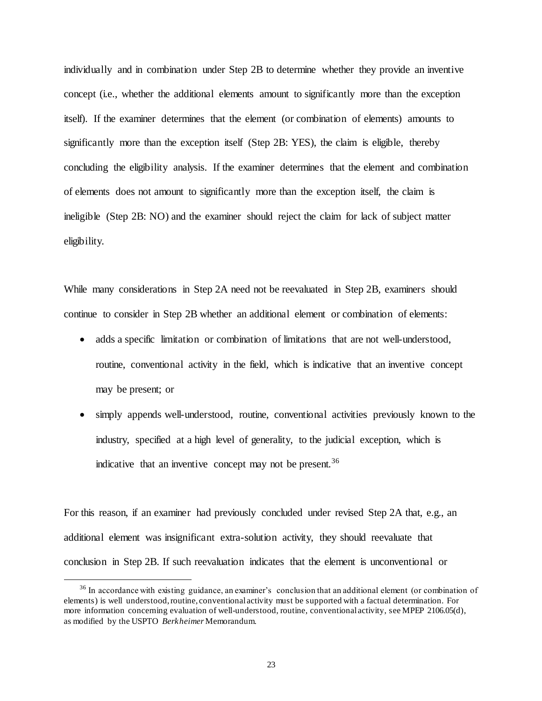individually and in combination under Step 2B to determine whether they provide an inventive concept (i.e., whether the additional elements amount to significantly more than the exception itself). If the examiner determines that the element (or combination of elements) amounts to significantly more than the exception itself (Step 2B: YES), the claim is eligible, thereby concluding the eligibility analysis. If the examiner determines that the element and combination of elements does not amount to significantly more than the exception itself, the claim is ineligible (Step 2B: NO) and the examiner should reject the claim for lack of subject matter eligibility.

While many considerations in Step 2A need not be reevaluated in Step 2B, examiners should continue to consider in Step 2B whether an additional element or combination of elements:

- adds a specific limitation or combination of limitations that are not well-understood, routine, conventional activity in the field, which is indicative that an inventive concept may be present; or
- simply appends well-understood, routine, conventional activities previously known to the industry, specified at a high level of generality, to the judicial exception, which is indicative that an inventive concept may not be present.  $36$

For this reason, if an examiner had previously concluded under revised Step 2A that, e.g., an additional element was insignificant extra-solution activity, they should reevaluate that conclusion in Step 2B. If such reevaluation indicates that the element is unconventional or

<sup>&</sup>lt;sup>36</sup> In accordance with existing guidance, an examiner's conclusion that an additional element (or combination of elements) is well understood, routine, conventional activity must be supported with a factual determination. For more information concerning evaluation of well-understood, routine, conventional activity, see MPEP 2106.05(d), as modified by the USPTO *Berkheimer* Memorandum.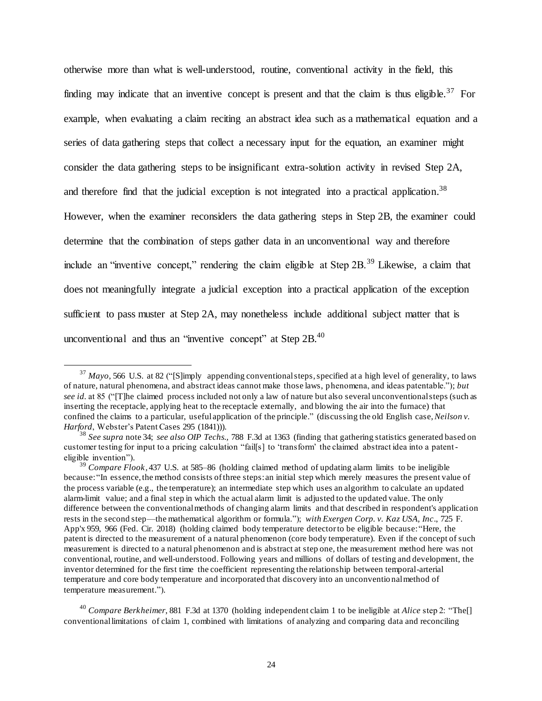otherwise more than what is well-understood, routine, conventional activity in the field, this finding may indicate that an inventive concept is present and that the claim is thus eligible.<sup>37</sup> For example, when evaluating a claim reciting an abstract idea such as a mathematical equation and a series of data gathering steps that collect a necessary input for the equation, an examiner might consider the data gathering steps to be insignificant extra-solution activity in revised Step 2A, and therefore find that the judicial exception is not integrated into a practical application.<sup>38</sup> However, when the examiner reconsiders the data gathering steps in Step 2B, the examiner could determine that the combination of steps gather data in an unconventional way and therefore include an "inventive concept," rendering the claim eligible at Step 2B.<sup>39</sup> Likewise, a claim that does not meaningfully integrate a judicial exception into a practical application of the exception sufficient to pass muster at Step 2A, may nonetheless include additional subject matter that is unconventional and thus an "inventive concept" at Step  $2B<sub>1</sub><sup>40</sup>$ 

<sup>&</sup>lt;sup>37</sup> *Mayo*, 566 U.S. at 82 ("[S]imply appending conventional steps, specified at a high level of generality, to laws of nature, natural phenomena, and abstract ideas cannot make those laws, phenomena, and ideas patentable."); *but see id.* at 85 ("[T]he claimed process included not only a law of nature but also several unconventional steps (such as inserting the receptacle, applying heat to the receptacle externally, and blowing the air into the furnace) that confined the claims to a particular, useful application of the principle." (discussing the old English case, *Neilson v. Harford*, Webster's Patent Cases 295 (1841))).

<sup>38</sup> *See supra* note 34; *see also OIP Techs.,* 788 F.3d at 1363 (finding that gathering statistics generated based on customer testing for input to a pricing calculation "fail[s] to 'transform' the claimed abstract idea into a patenteligible invention").

<sup>&</sup>lt;sup>39</sup> *Compare Flook,* 437 U.S. at 585–86 (holding claimed method of updating alarm limits to be ineligible because:"In essence, the method consists of three steps: an initial step which merely measures the present value of the process variable (e.g., the temperature); an intermediate step which uses an algorithm to calculate an updated alarm-limit value; and a final step in which the actual alarm limit is adjusted to the updated value. The only difference between the conventional methods of changing alarm limits and that described in respondent's application rests in the second step—the mathematical algorithm or formula*.*"); *with Exergen Corp. v. Kaz USA, Inc*., 725 F. App'x 959, 966 (Fed. Cir. 2018) (holding claimed body temperature detector to be eligible because:"Here, the patent is directed to the measurement of a natural phenomenon (core body temperature). Even if the concept of such measurement is directed to a natural phenomenon and is abstract at step one, the measurement method here was not conventional, routine, and well-understood. Following years and millions of dollars of testing and development, the inventor determined for the first time the coefficient representing the relationship between temporal-arterial temperature and core body temperature and incorporated that discovery into an unconventio nal method of temperature measurement.").

<sup>40</sup> *Compare Berkheimer*, 881 F.3d at 1370 (holding independent claim 1 to be ineligible at *Alice* step 2: "The[] conventional limitations of claim 1, combined with limitations of analyzing and comparing data and reconciling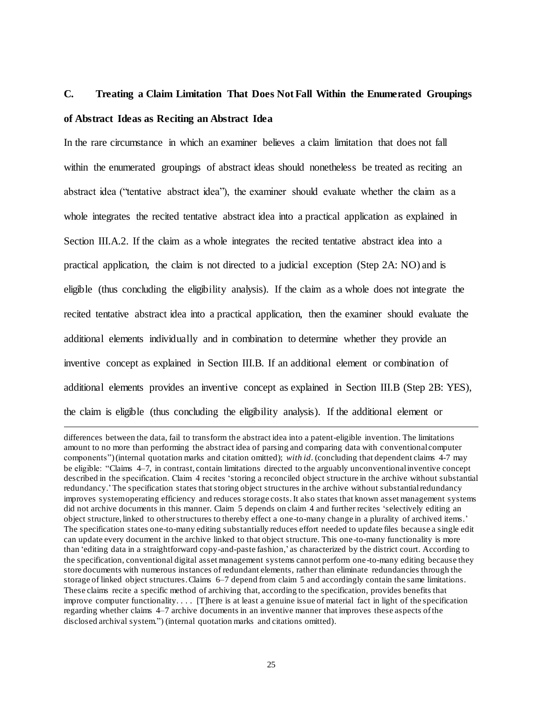## **C. Treating a Claim Limitation That Does Not Fall Within the Enumerated Groupings of Abstract Ideas as Reciting an Abstract Idea**

In the rare circumstance in which an examiner believes a claim limitation that does not fall within the enumerated groupings of abstract ideas should nonetheless be treated as reciting an abstract idea ("tentative abstract idea"), the examiner should evaluate whether the claim as a whole integrates the recited tentative abstract idea into a practical application as explained in Section III.A.2. If the claim as a whole integrates the recited tentative abstract idea into a practical application, the claim is not directed to a judicial exception (Step 2A: NO) and is eligible (thus concluding the eligibility analysis). If the claim as a whole does not integrate the recited tentative abstract idea into a practical application, then the examiner should evaluate the additional elements individually and in combination to determine whether they provide an inventive concept as explained in Section III.B. If an additional element or combination of additional elements provides an inventive concept as explained in Section III.B (Step 2B: YES), the claim is eligible (thus concluding the eligibility analysis). If the additional element or

 $\ddot{\phantom{a}}$ 

differences between the data, fail to transform the abstract idea into a patent-eligible invention. The limitations amount to no more than performing the abstract idea of parsing and comparing data with conventional computer components")(internal quotation marks and citation omitted); *with id*. (concluding that dependent claims 4-7 may be eligible: "Claims 4–7, in contrast, contain limitations directed to the arguably unconventional inventive concept described in the specification. Claim 4 recites 'storing a reconciled object structure in the archive without substantial redundancy.'The specification states that storing object structures in the archive without substantial redundancy improves system operating efficiency and reduces storage costs. It also states that known asset management systems did not archive documents in this manner. Claim 5 depends on claim 4 and further recites 'selectively editing an object structure, linked to other structures to thereby effect a one-to-many change in a plurality of archived items.' The specification states one-to-many editing substantially reduces effort needed to update files because a single edit can update every document in the archive linked to that object structure. This one-to-many functionality is more than 'editing data in a straightforward copy-and-paste fashion,' as characterized by the district court. According to the specification, conventional digital asset management systems cannot perform one-to-many editing because they store documents with numerous instances of redundant elements, rather than eliminate redundancies through the storage of linked object structures. Claims 6–7 depend from claim 5 and accordingly contain the same limitations. These claims recite a specific method of archiving that, according to the specification, provides benefits that improve computer functionality.... [There is at least a genuine issue of material fact in light of the specification regarding whether claims 4–7 archive documents in an inventive manner that improves these aspects of the disclosed archival system.") (internal quotation marks and citations omitted).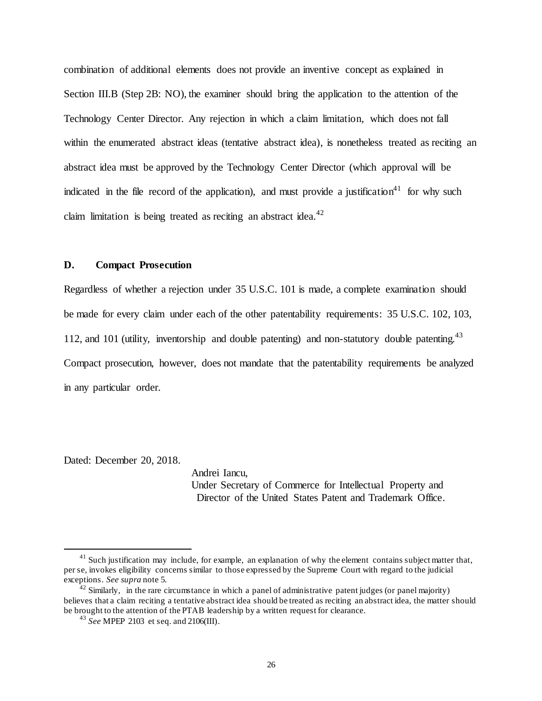combination of additional elements does not provide an inventive concept as explained in Section III.B (Step 2B: NO), the examiner should bring the application to the attention of the Technology Center Director. Any rejection in which a claim limitation, which does not fall within the enumerated abstract ideas (tentative abstract idea), is nonetheless treated as reciting an abstract idea must be approved by the Technology Center Director (which approval will be indicated in the file record of the application), and must provide a justification<sup>41</sup> for why such claim limitation is being treated as reciting an abstract idea.<sup>42</sup>

#### **D. Compact Prosecution**

Regardless of whether a rejection under 35 U.S.C. 101 is made, a complete examination should be made for every claim under each of the other patentability requirements: 35 U.S.C. 102, 103, 112, and 101 (utility, inventorship and double patenting) and non-statutory double patenting.<sup>43</sup> Compact prosecution, however, does not mandate that the patentability requirements be analyzed in any particular order.

Dated: December 20, 2018.

 $\ddot{\phantom{a}}$ 

Andrei Iancu, Under Secretary of Commerce for Intellectual Property and Director of the United States Patent and Trademark Office.

 $41$  Such justification may include, for example, an explanation of why the element contains subject matter that, per se, invokes eligibility concerns similar to those expressed by the Supreme Court with regard to the judicial exceptions. *See supra* note 5.

<sup>&</sup>lt;sup>42</sup> Similarly, in the rare circumstance in which a panel of administrative patent judges (or panel majority) believes that a claim reciting a tentative abstract idea should be treated as reciting an abstract idea, the matter should be brought to the attention of the PTAB leadership by a written request for clearance.

<sup>43</sup> *See* MPEP 2103 et seq. and 2106(III).